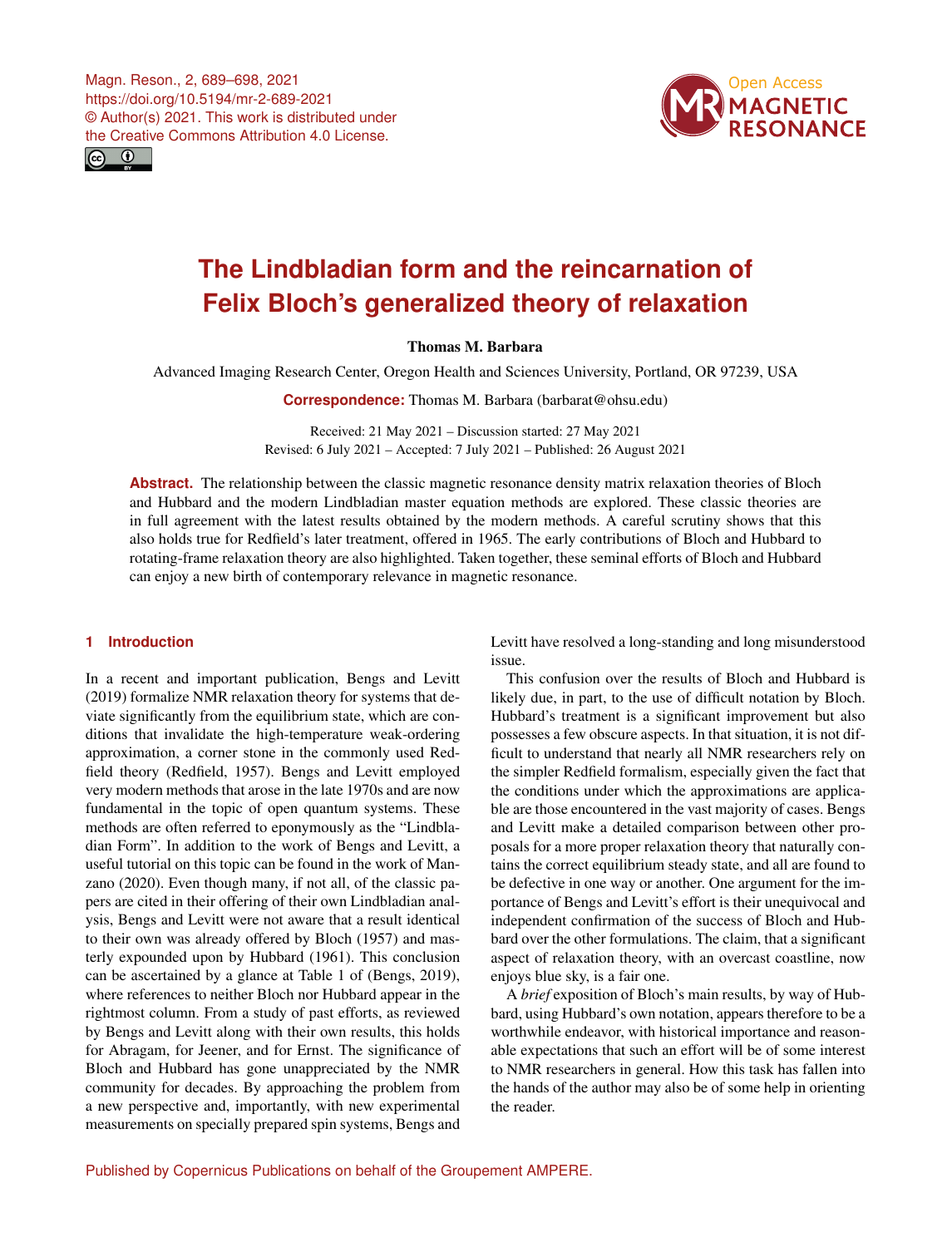Magn. Reson., 2, 689–698, 2021 https://doi.org/10.5194/mr-2-689-2021 © Author(s) 2021. This work is distributed under the Creative Commons Attribution 4.0 License.





# **The Lindbladian form and the reincarnation of Felix Bloch's generalized theory of relaxation**

Thomas M. Barbara

Advanced Imaging Research Center, Oregon Health and Sciences University, Portland, OR 97239, USA

**Correspondence:** Thomas M. Barbara (barbarat@ohsu.edu)

Received: 21 May 2021 – Discussion started: 27 May 2021 Revised: 6 July 2021 – Accepted: 7 July 2021 – Published: 26 August 2021

**Abstract.** The relationship between the classic magnetic resonance density matrix relaxation theories of Bloch and Hubbard and the modern Lindbladian master equation methods are explored. These classic theories are in full agreement with the latest results obtained by the modern methods. A careful scrutiny shows that this also holds true for Redfield's later treatment, offered in 1965. The early contributions of Bloch and Hubbard to rotating-frame relaxation theory are also highlighted. Taken together, these seminal efforts of Bloch and Hubbard can enjoy a new birth of contemporary relevance in magnetic resonance.

# **1 Introduction**

In a recent and important publication, Bengs and Levitt (2019) formalize NMR relaxation theory for systems that deviate significantly from the equilibrium state, which are conditions that invalidate the high-temperature weak-ordering approximation, a corner stone in the commonly used Redfield theory (Redfield, 1957). Bengs and Levitt employed very modern methods that arose in the late 1970s and are now fundamental in the topic of open quantum systems. These methods are often referred to eponymously as the "Lindbladian Form". In addition to the work of Bengs and Levitt, a useful tutorial on this topic can be found in the work of Manzano (2020). Even though many, if not all, of the classic papers are cited in their offering of their own Lindbladian analysis, Bengs and Levitt were not aware that a result identical to their own was already offered by Bloch (1957) and masterly expounded upon by Hubbard (1961). This conclusion can be ascertained by a glance at Table 1 of (Bengs, 2019), where references to neither Bloch nor Hubbard appear in the rightmost column. From a study of past efforts, as reviewed by Bengs and Levitt along with their own results, this holds for Abragam, for Jeener, and for Ernst. The significance of Bloch and Hubbard has gone unappreciated by the NMR community for decades. By approaching the problem from a new perspective and, importantly, with new experimental measurements on specially prepared spin systems, Bengs and Levitt have resolved a long-standing and long misunderstood issue.

This confusion over the results of Bloch and Hubbard is likely due, in part, to the use of difficult notation by Bloch. Hubbard's treatment is a significant improvement but also possesses a few obscure aspects. In that situation, it is not difficult to understand that nearly all NMR researchers rely on the simpler Redfield formalism, especially given the fact that the conditions under which the approximations are applicable are those encountered in the vast majority of cases. Bengs and Levitt make a detailed comparison between other proposals for a more proper relaxation theory that naturally contains the correct equilibrium steady state, and all are found to be defective in one way or another. One argument for the importance of Bengs and Levitt's effort is their unequivocal and independent confirmation of the success of Bloch and Hubbard over the other formulations. The claim, that a significant aspect of relaxation theory, with an overcast coastline, now enjoys blue sky, is a fair one.

A *brief* exposition of Bloch's main results, by way of Hubbard, using Hubbard's own notation, appears therefore to be a worthwhile endeavor, with historical importance and reasonable expectations that such an effort will be of some interest to NMR researchers in general. How this task has fallen into the hands of the author may also be of some help in orienting the reader.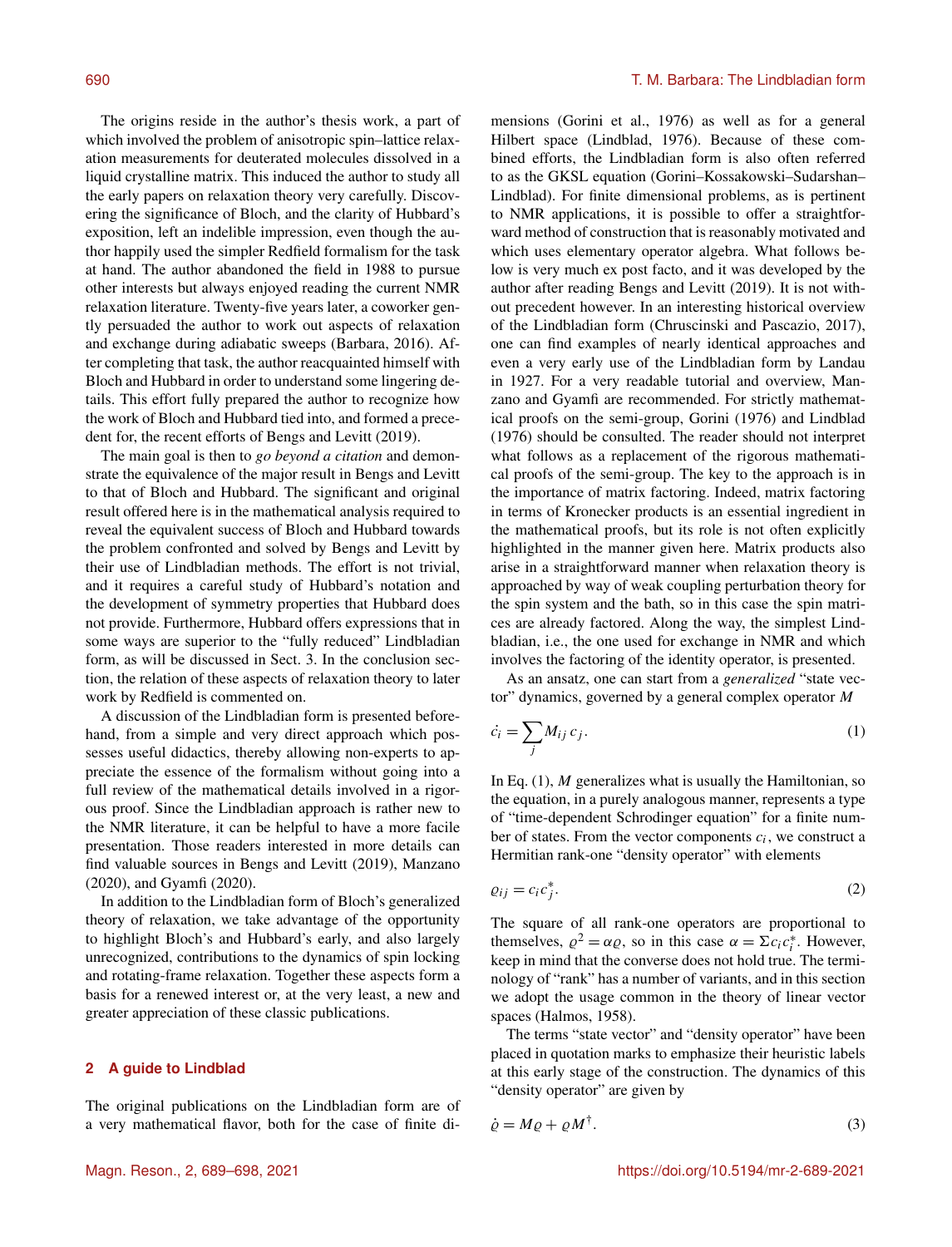The origins reside in the author's thesis work, a part of which involved the problem of anisotropic spin–lattice relaxation measurements for deuterated molecules dissolved in a liquid crystalline matrix. This induced the author to study all the early papers on relaxation theory very carefully. Discovering the significance of Bloch, and the clarity of Hubbard's exposition, left an indelible impression, even though the author happily used the simpler Redfield formalism for the task at hand. The author abandoned the field in 1988 to pursue other interests but always enjoyed reading the current NMR relaxation literature. Twenty-five years later, a coworker gently persuaded the author to work out aspects of relaxation and exchange during adiabatic sweeps (Barbara, 2016). After completing that task, the author reacquainted himself with Bloch and Hubbard in order to understand some lingering details. This effort fully prepared the author to recognize how the work of Bloch and Hubbard tied into, and formed a precedent for, the recent efforts of Bengs and Levitt (2019).

The main goal is then to *go beyond a citation* and demonstrate the equivalence of the major result in Bengs and Levitt to that of Bloch and Hubbard. The significant and original result offered here is in the mathematical analysis required to reveal the equivalent success of Bloch and Hubbard towards the problem confronted and solved by Bengs and Levitt by their use of Lindbladian methods. The effort is not trivial, and it requires a careful study of Hubbard's notation and the development of symmetry properties that Hubbard does not provide. Furthermore, Hubbard offers expressions that in some ways are superior to the "fully reduced" Lindbladian form, as will be discussed in Sect. 3. In the conclusion section, the relation of these aspects of relaxation theory to later work by Redfield is commented on.

A discussion of the Lindbladian form is presented beforehand, from a simple and very direct approach which possesses useful didactics, thereby allowing non-experts to appreciate the essence of the formalism without going into a full review of the mathematical details involved in a rigorous proof. Since the Lindbladian approach is rather new to the NMR literature, it can be helpful to have a more facile presentation. Those readers interested in more details can find valuable sources in Bengs and Levitt (2019), Manzano (2020), and Gyamfi (2020).

In addition to the Lindbladian form of Bloch's generalized theory of relaxation, we take advantage of the opportunity to highlight Bloch's and Hubbard's early, and also largely unrecognized, contributions to the dynamics of spin locking and rotating-frame relaxation. Together these aspects form a basis for a renewed interest or, at the very least, a new and greater appreciation of these classic publications.

#### **2 A guide to Lindblad**

The original publications on the Lindbladian form are of a very mathematical flavor, both for the case of finite dimensions (Gorini et al., 1976) as well as for a general Hilbert space (Lindblad, 1976). Because of these combined efforts, the Lindbladian form is also often referred to as the GKSL equation (Gorini–Kossakowski–Sudarshan– Lindblad). For finite dimensional problems, as is pertinent to NMR applications, it is possible to offer a straightforward method of construction that is reasonably motivated and which uses elementary operator algebra. What follows below is very much ex post facto, and it was developed by the author after reading Bengs and Levitt (2019). It is not without precedent however. In an interesting historical overview of the Lindbladian form (Chruscinski and Pascazio, 2017), one can find examples of nearly identical approaches and even a very early use of the Lindbladian form by Landau in 1927. For a very readable tutorial and overview, Manzano and Gyamfi are recommended. For strictly mathematical proofs on the semi-group, Gorini (1976) and Lindblad (1976) should be consulted. The reader should not interpret what follows as a replacement of the rigorous mathematical proofs of the semi-group. The key to the approach is in the importance of matrix factoring. Indeed, matrix factoring in terms of Kronecker products is an essential ingredient in the mathematical proofs, but its role is not often explicitly highlighted in the manner given here. Matrix products also arise in a straightforward manner when relaxation theory is approached by way of weak coupling perturbation theory for the spin system and the bath, so in this case the spin matrices are already factored. Along the way, the simplest Lindbladian, i.e., the one used for exchange in NMR and which involves the factoring of the identity operator, is presented.

As an ansatz, one can start from a *generalized* "state vector" dynamics, governed by a general complex operator M

$$
\dot{c}_i = \sum_j M_{ij} c_j. \tag{1}
$$

In Eq.  $(1)$ , M generalizes what is usually the Hamiltonian, so the equation, in a purely analogous manner, represents a type of "time-dependent Schrodinger equation" for a finite number of states. From the vector components  $c_i$ , we construct a Hermitian rank-one "density operator" with elements

$$
\varrho_{ij} = c_i c_j^*.
$$

The square of all rank-one operators are proportional to themselves,  $\rho^2 = \alpha \varrho$ , so in this case  $\alpha = \sum c_i c_i^*$ . However, keep in mind that the converse does not hold true. The terminology of "rank" has a number of variants, and in this section we adopt the usage common in the theory of linear vector spaces (Halmos, 1958).

The terms "state vector" and "density operator" have been placed in quotation marks to emphasize their heuristic labels at this early stage of the construction. The dynamics of this "density operator" are given by

$$
\dot{\varrho} = M\varrho + \varrho M^{\dagger}.
$$
\n(3)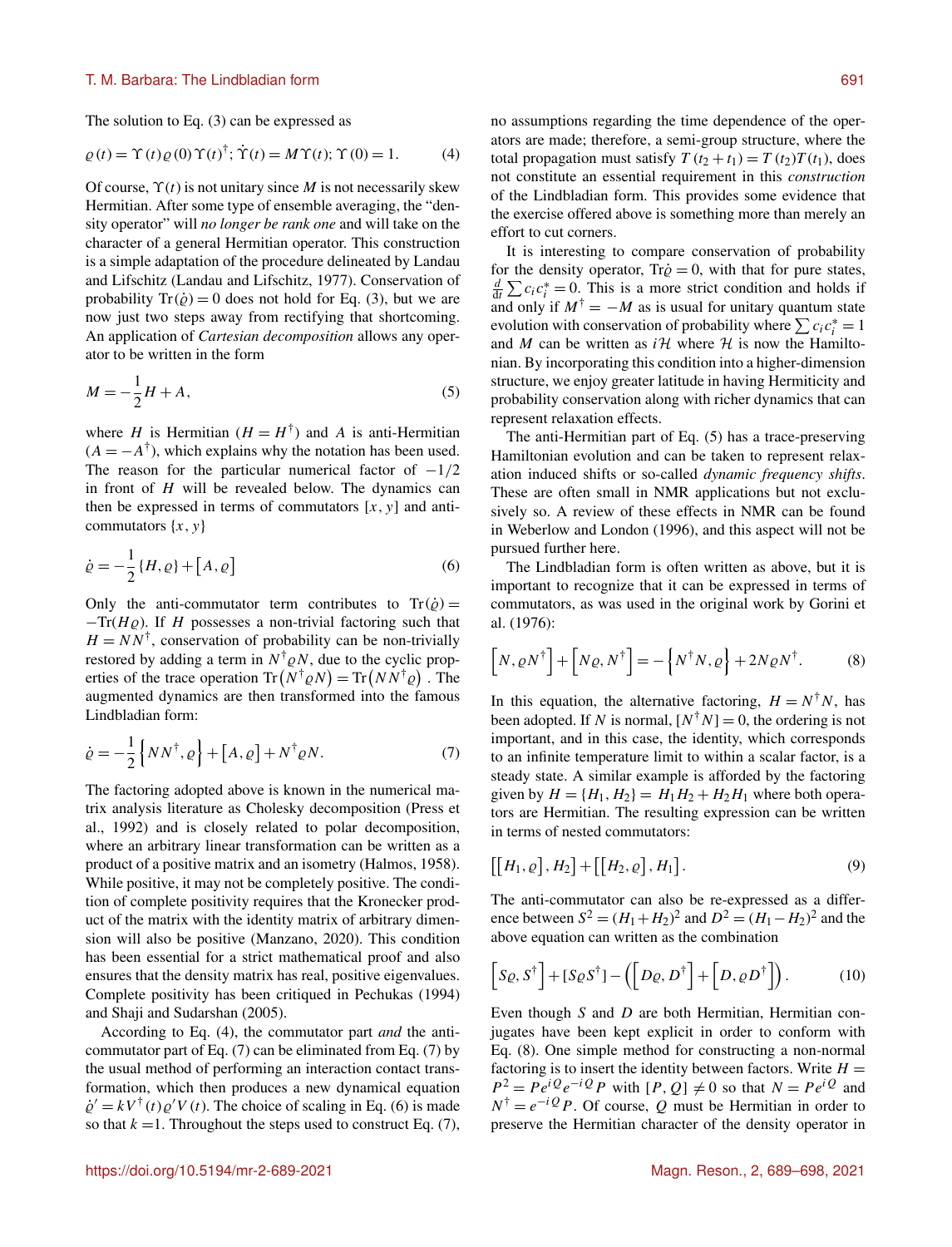## T. M. Barbara: The Lindbladian form 691

The solution to Eq. (3) can be expressed as

$$
\varrho(t) = \Upsilon(t)\varrho(0)\Upsilon(t)^{\dagger}; \dot{\Upsilon}(t) = M\Upsilon(t); \Upsilon(0) = 1.
$$
 (4)

Of course,  $\Upsilon(t)$  is not unitary since M is not necessarily skew Hermitian. After some type of ensemble averaging, the "density operator" will *no longer be rank one* and will take on the character of a general Hermitian operator. This construction is a simple adaptation of the procedure delineated by Landau and Lifschitz (Landau and Lifschitz, 1977). Conservation of probability  $Tr(\dot{\varrho}) = 0$  does not hold for Eq. (3), but we are now just two steps away from rectifying that shortcoming. An application of *Cartesian decomposition* allows any operator to be written in the form

$$
M = -\frac{1}{2}H + A,\tag{5}
$$

where H is Hermitian  $(H = H^{\dagger})$  and A is anti-Hermitian  $(A = -A^{\dagger})$ , which explains why the notation has been used. The reason for the particular numerical factor of  $-1/2$ in front of  $H$  will be revealed below. The dynamics can then be expressed in terms of commutators  $[x, y]$  and anticommutators  $\{x, y\}$ 

$$
\dot{\varrho} = -\frac{1}{2} \{H, \varrho\} + [A, \varrho] \tag{6}
$$

Only the anti-commutator term contributes to  $Tr(\dot{\varrho}) =$  $-Tr(H_\mathcal{Q})$ . If H possesses a non-trivial factoring such that  $H = NN^{\dagger}$ , conservation of probability can be non-trivially restored by adding a term in  $N^{\dagger} \rho N$ , due to the cyclic properties of the trace operation  $Tr(N^{\dagger} \varrho N) = Tr(N N^{\dagger} \varrho)$ . The augmented dynamics are then transformed into the famous Lindbladian form:

$$
\dot{\varrho} = -\frac{1}{2} \left\{ N N^{\dagger}, \varrho \right\} + \left[ A, \varrho \right] + N^{\dagger} \varrho N. \tag{7}
$$

The factoring adopted above is known in the numerical matrix analysis literature as Cholesky decomposition (Press et al., 1992) and is closely related to polar decomposition, where an arbitrary linear transformation can be written as a product of a positive matrix and an isometry (Halmos, 1958). While positive, it may not be completely positive. The condition of complete positivity requires that the Kronecker product of the matrix with the identity matrix of arbitrary dimension will also be positive (Manzano, 2020). This condition has been essential for a strict mathematical proof and also ensures that the density matrix has real, positive eigenvalues. Complete positivity has been critiqued in Pechukas (1994) and Shaji and Sudarshan (2005).

According to Eq. (4), the commutator part *and* the anticommutator part of Eq. (7) can be eliminated from Eq. (7) by the usual method of performing an interaction contact transformation, which then produces a new dynamical equation  $\dot{\varrho}' = kV^{\dagger}(t)\varrho'V(t)$ . The choice of scaling in Eq. (6) is made so that  $k = 1$ . Throughout the steps used to construct Eq. (7), no assumptions regarding the time dependence of the operators are made; therefore, a semi-group structure, where the total propagation must satisfy  $T(t_2 + t_1) = T(t_2)T(t_1)$ , does not constitute an essential requirement in this *construction* of the Lindbladian form. This provides some evidence that the exercise offered above is something more than merely an effort to cut corners.

It is interesting to compare conservation of probability for the density operator,  $Tr\dot{\rho} = 0$ , with that for pure states,  $\frac{d}{dt} \sum c_i c_i^* = 0$ . This is a more strict condition and holds if and only if  $M^{\dagger} = -M$  as is usual for unitary quantum state evolution with conservation of probability where  $\sum c_i c_i^* = 1$ and M can be written as  $i\mathcal{H}$  where  $\mathcal{H}$  is now the Hamiltonian. By incorporating this condition into a higher-dimension structure, we enjoy greater latitude in having Hermiticity and probability conservation along with richer dynamics that can represent relaxation effects.

The anti-Hermitian part of Eq. (5) has a trace-preserving Hamiltonian evolution and can be taken to represent relaxation induced shifts or so-called *dynamic frequency shifts*. These are often small in NMR applications but not exclusively so. A review of these effects in NMR can be found in Weberlow and London (1996), and this aspect will not be pursued further here.

The Lindbladian form is often written as above, but it is important to recognize that it can be expressed in terms of commutators, as was used in the original work by Gorini et al. (1976):

$$
\left[N,\varrho N^{\dagger}\right]+\left[N\varrho,N^{\dagger}\right]=-\left\{N^{\dagger}N,\varrho\right\}+2N\varrho N^{\dagger}.
$$
 (8)

In this equation, the alternative factoring,  $H = N^{\dagger}N$ , has been adopted. If N is normal,  $[N^{\dagger}N] = 0$ , the ordering is not important, and in this case, the identity, which corresponds to an infinite temperature limit to within a scalar factor, is a steady state. A similar example is afforded by the factoring given by  $H = {H_1, H_2} = H_1H_2 + H_2H_1$  where both operators are Hermitian. The resulting expression can be written in terms of nested commutators:

$$
\left[\left[H_1,\varrho\right],H_2\right]+\left[\left[H_2,\varrho\right],H_1\right].\tag{9}
$$

The anti-commutator can also be re-expressed as a difference between  $S^2 = (H_1 + H_2)^2$  and  $D^2 = (H_1 - H_2)^2$  and the above equation can written as the combination

$$
\[S_{Q}, S^{\dagger}\] + [S_{Q}S^{\dagger}] - \left(\Big[D_{Q}, D^{\dagger}\Big] + \Big[D, \rho D^{\dagger}\Big]\right). \tag{10}
$$

Even though S and D are both Hermitian, Hermitian conjugates have been kept explicit in order to conform with Eq. (8). One simple method for constructing a non-normal factoring is to insert the identity between factors. Write  $H =$  $P^2 = Pe^{iQ}e^{-iQP}$  with  $[P, Q] \neq 0$  so that  $N = Pe^{iQ}$  and  $N^{\dagger} = e^{-i} Q P$ . Of course, Q must be Hermitian in order to preserve the Hermitian character of the density operator in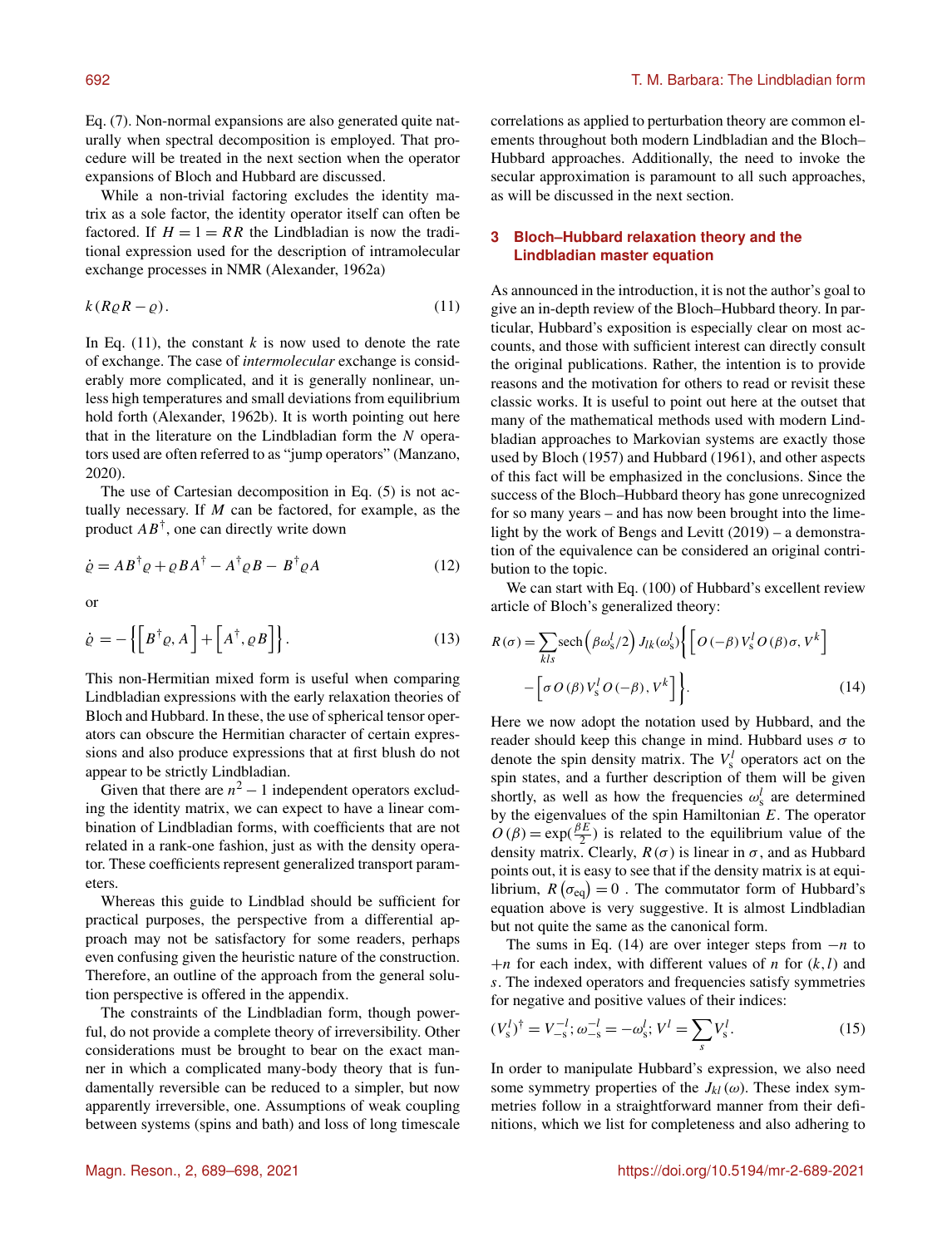Eq. (7). Non-normal expansions are also generated quite naturally when spectral decomposition is employed. That procedure will be treated in the next section when the operator expansions of Bloch and Hubbard are discussed.

While a non-trivial factoring excludes the identity matrix as a sole factor, the identity operator itself can often be factored. If  $H = 1 = RR$  the Lindbladian is now the traditional expression used for the description of intramolecular exchange processes in NMR (Alexander, 1962a)

$$
k(R\varrho R - \varrho). \tag{11}
$$

In Eq.  $(11)$ , the constant k is now used to denote the rate of exchange. The case of *intermolecular* exchange is considerably more complicated, and it is generally nonlinear, unless high temperatures and small deviations from equilibrium hold forth (Alexander, 1962b). It is worth pointing out here that in the literature on the Lindbladian form the  $N$  operators used are often referred to as "jump operators" (Manzano, 2020).

The use of Cartesian decomposition in Eq. (5) is not actually necessary. If  $M$  can be factored, for example, as the product  $AB^{\dagger}$ , one can directly write down

$$
\dot{\varrho} = AB^{\dagger} \varrho + \varrho BA^{\dagger} - A^{\dagger} \varrho B - B^{\dagger} \varrho A \tag{12}
$$

or

$$
\dot{\varrho} = -\left\{ \left[ B^{\dagger} \varrho, A \right] + \left[ A^{\dagger}, \varrho B \right] \right\}.
$$
 (13)

This non-Hermitian mixed form is useful when comparing Lindbladian expressions with the early relaxation theories of Bloch and Hubbard. In these, the use of spherical tensor operators can obscure the Hermitian character of certain expressions and also produce expressions that at first blush do not appear to be strictly Lindbladian.

Given that there are  $n^2 - 1$  independent operators excluding the identity matrix, we can expect to have a linear combination of Lindbladian forms, with coefficients that are not related in a rank-one fashion, just as with the density operator. These coefficients represent generalized transport parameters.

Whereas this guide to Lindblad should be sufficient for practical purposes, the perspective from a differential approach may not be satisfactory for some readers, perhaps even confusing given the heuristic nature of the construction. Therefore, an outline of the approach from the general solution perspective is offered in the appendix.

The constraints of the Lindbladian form, though powerful, do not provide a complete theory of irreversibility. Other considerations must be brought to bear on the exact manner in which a complicated many-body theory that is fundamentally reversible can be reduced to a simpler, but now apparently irreversible, one. Assumptions of weak coupling between systems (spins and bath) and loss of long timescale correlations as applied to perturbation theory are common elements throughout both modern Lindbladian and the Bloch– Hubbard approaches. Additionally, the need to invoke the secular approximation is paramount to all such approaches, as will be discussed in the next section.

# **3 Bloch–Hubbard relaxation theory and the Lindbladian master equation**

As announced in the introduction, it is not the author's goal to give an in-depth review of the Bloch–Hubbard theory. In particular, Hubbard's exposition is especially clear on most accounts, and those with sufficient interest can directly consult the original publications. Rather, the intention is to provide reasons and the motivation for others to read or revisit these classic works. It is useful to point out here at the outset that many of the mathematical methods used with modern Lindbladian approaches to Markovian systems are exactly those used by Bloch (1957) and Hubbard (1961), and other aspects of this fact will be emphasized in the conclusions. Since the success of the Bloch–Hubbard theory has gone unrecognized for so many years – and has now been brought into the limelight by the work of Bengs and Levitt (2019) – a demonstration of the equivalence can be considered an original contribution to the topic.

We can start with Eq. (100) of Hubbard's excellent review article of Bloch's generalized theory:

$$
R(\sigma) = \sum_{kls} \text{sech}\left(\beta \omega_s^l / 2\right) J_{lk}(\omega_s^l) \left\{ \left[ O\left(-\beta\right) V_s^l O\left(\beta\right) \sigma, V^k \right] - \left[ \sigma O\left(\beta\right) V_s^l O\left(-\beta\right), V^k \right] \right\}.
$$
\n(14)

Here we now adopt the notation used by Hubbard, and the reader should keep this change in mind. Hubbard uses  $\sigma$  to denote the spin density matrix. The  $V_s^l$  operators act on the spin states, and a further description of them will be given shortly, as well as how the frequencies  $\omega_s^l$  are determined by the eigenvalues of the spin Hamiltonian  $E$ . The operator  $O(\beta) = \exp(\frac{\beta E}{2})$  is related to the equilibrium value of the density matrix. Clearly,  $R(\sigma)$  is linear in  $\sigma$ , and as Hubbard points out, it is easy to see that if the density matrix is at equilibrium,  $R(\sigma_{eq}) = 0$ . The commutator form of Hubbard's equation above is very suggestive. It is almost Lindbladian but not quite the same as the canonical form.

The sums in Eq. (14) are over integer steps from  $-n$  to  $+n$  for each index, with different values of n for  $(k, l)$  and s. The indexed operators and frequencies satisfy symmetries for negative and positive values of their indices:

$$
(V_s^l)^{\dagger} = V_{-s}^{-l}; \omega_{-s}^{-l} = -\omega_s^l; V^l = \sum_s V_s^l.
$$
 (15)

In order to manipulate Hubbard's expression, we also need some symmetry properties of the  $J_{kl}(\omega)$ . These index symmetries follow in a straightforward manner from their definitions, which we list for completeness and also adhering to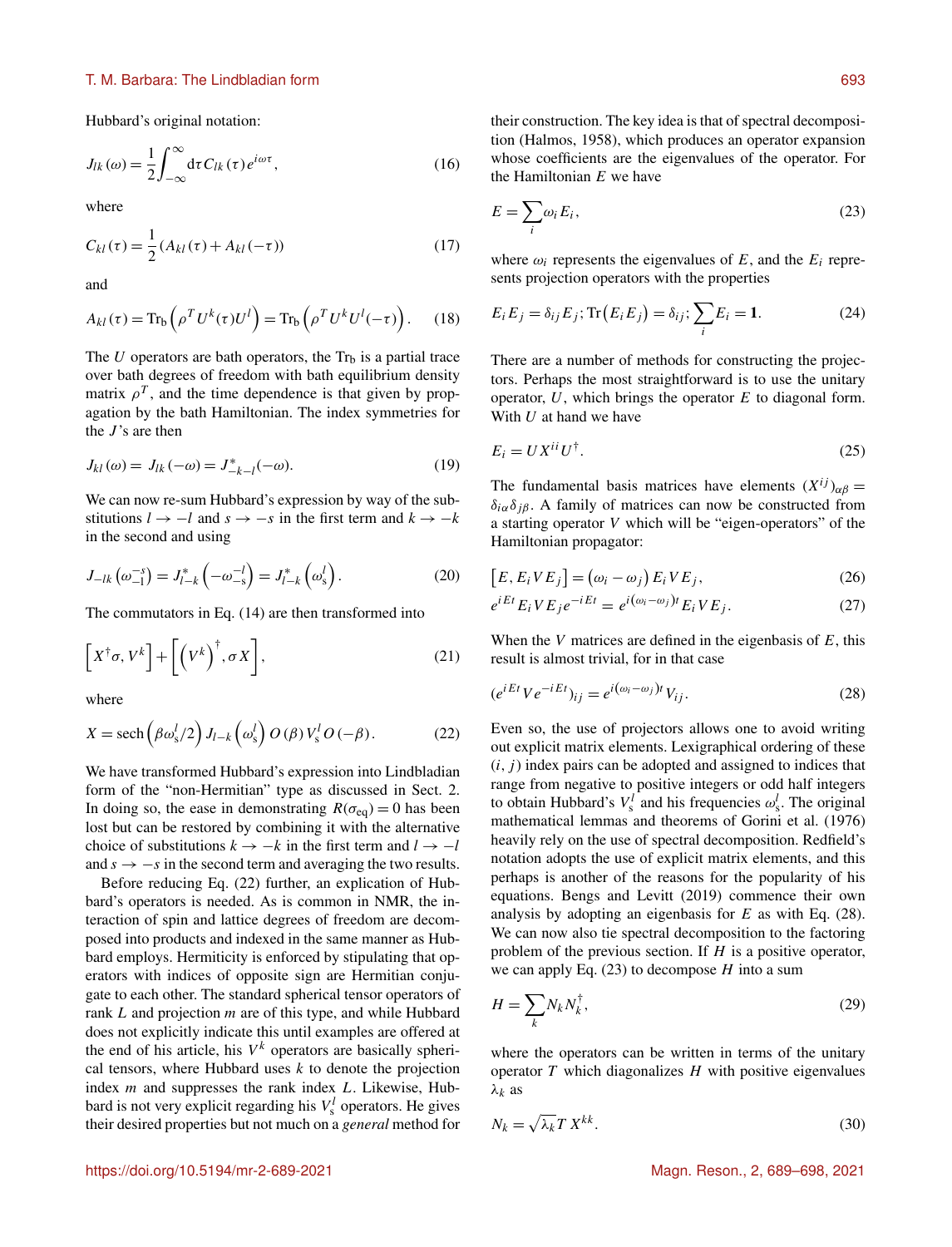# T. M. Barbara: The Lindbladian form 693

Hubbard's original notation:

$$
J_{lk}(\omega) = \frac{1}{2} \int_{-\infty}^{\infty} d\tau C_{lk}(\tau) e^{i\omega \tau},
$$
\n(16)

where

$$
C_{kl}(\tau) = \frac{1}{2} (A_{kl}(\tau) + A_{kl}(-\tau))
$$
\n(17)

and

$$
A_{kl}(\tau) = \text{Tr}_{\text{b}}\left(\rho^T U^k(\tau) U^l\right) = \text{Tr}_{\text{b}}\left(\rho^T U^k U^l(-\tau)\right). \tag{18}
$$

The U operators are bath operators, the  $Tr_b$  is a partial trace over bath degrees of freedom with bath equilibrium density matrix  $\rho^T$ , and the time dependence is that given by propagation by the bath Hamiltonian. The index symmetries for the  $J$ 's are then

$$
J_{kl}(\omega) = J_{lk}(-\omega) = J_{-k-l}^{*}(-\omega).
$$
 (19)

We can now re-sum Hubbard's expression by way of the substitutions  $l \rightarrow -l$  and  $s \rightarrow -s$  in the first term and  $k \rightarrow -k$ in the second and using

$$
J_{-lk}(\omega_{-1}^{-s}) = J_{l-k}^{*}(-\omega_{-s}^{-l}) = J_{l-k}^{*}(\omega_{s}^{l}).
$$
\n(20)

The commutators in Eq. (14) are then transformed into

$$
\[X^{\dagger} \sigma, V^k\] + \left[ \left(V^k\right)^{\dagger}, \sigma X \right], \tag{21}
$$

where

$$
X = \operatorname{sech}\left(\beta \omega_{s}^{l}/2\right) J_{l-k}\left(\omega_{s}^{l}\right) O\left(\beta\right) V_{s}^{l} O\left(-\beta\right). \tag{22}
$$

We have transformed Hubbard's expression into Lindbladian form of the "non-Hermitian" type as discussed in Sect. 2. In doing so, the ease in demonstrating  $R(\sigma_{eq}) = 0$  has been lost but can be restored by combining it with the alternative choice of substitutions  $k \to -k$  in the first term and  $l \to -l$ and  $s \rightarrow -s$  in the second term and averaging the two results.

Before reducing Eq. (22) further, an explication of Hubbard's operators is needed. As is common in NMR, the interaction of spin and lattice degrees of freedom are decomposed into products and indexed in the same manner as Hubbard employs. Hermiticity is enforced by stipulating that operators with indices of opposite sign are Hermitian conjugate to each other. The standard spherical tensor operators of rank L and projection m are of this type, and while Hubbard does not explicitly indicate this until examples are offered at the end of his article, his  $V^k$  operators are basically spherical tensors, where Hubbard uses  $k$  to denote the projection index  $m$  and suppresses the rank index  $L$ . Likewise, Hubbard is not very explicit regarding his  $V_s^l$  operators. He gives their desired properties but not much on a *general* method for their construction. The key idea is that of spectral decomposition (Halmos, 1958), which produces an operator expansion whose coefficients are the eigenvalues of the operator. For the Hamiltonian  $E$  we have

$$
E = \sum_{i} \omega_i E_i,\tag{23}
$$

where  $\omega_i$  represents the eigenvalues of E, and the  $E_i$  represents projection operators with the properties

$$
E_i E_j = \delta_{ij} E_j; \text{Tr}(E_i E_j) = \delta_{ij}; \sum_i E_i = 1.
$$
 (24)

There are a number of methods for constructing the projectors. Perhaps the most straightforward is to use the unitary operator,  $U$ , which brings the operator  $E$  to diagonal form. With  $U$  at hand we have

$$
E_i = U X^{ii} U^{\dagger}.
$$
 (25)

The fundamental basis matrices have elements  $(X^{ij})_{\alpha\beta} =$  $\delta_{i\alpha}\delta_{j\beta}$ . A family of matrices can now be constructed from a starting operator V which will be "eigen-operators" of the Hamiltonian propagator:

$$
[E, E_i VE_j] = (\omega_i - \omega_j) E_i VE_j, \qquad (26)
$$

$$
e^{iEt}E_iVE_je^{-iEt} = e^{i(\omega_i - \omega_j)t}E_iVE_j.
$$
 (27)

When the V matrices are defined in the eigenbasis of  $E$ , this result is almost trivial, for in that case

$$
(e^{iEt}Ve^{-iEt})_{ij} = e^{i(\omega_i - \omega_j)t}V_{ij}.
$$
\n(28)

Even so, the use of projectors allows one to avoid writing out explicit matrix elements. Lexigraphical ordering of these  $(i, j)$  index pairs can be adopted and assigned to indices that range from negative to positive integers or odd half integers to obtain Hubbard's  $V_s^l$  and his frequencies  $\omega_s^l$ . The original mathematical lemmas and theorems of Gorini et al. (1976) heavily rely on the use of spectral decomposition. Redfield's notation adopts the use of explicit matrix elements, and this perhaps is another of the reasons for the popularity of his equations. Bengs and Levitt (2019) commence their own analysis by adopting an eigenbasis for  $E$  as with Eq. (28). We can now also tie spectral decomposition to the factoring problem of the previous section. If  $H$  is a positive operator, we can apply Eq.  $(23)$  to decompose H into a sum

$$
H = \sum_{k} N_k N_k^{\dagger},\tag{29}
$$

where the operators can be written in terms of the unitary operator  $T$  which diagonalizes  $H$  with positive eigenvalues  $λ_k$  as

$$
N_k = \sqrt{\lambda_k} T \, X^{kk}.\tag{30}
$$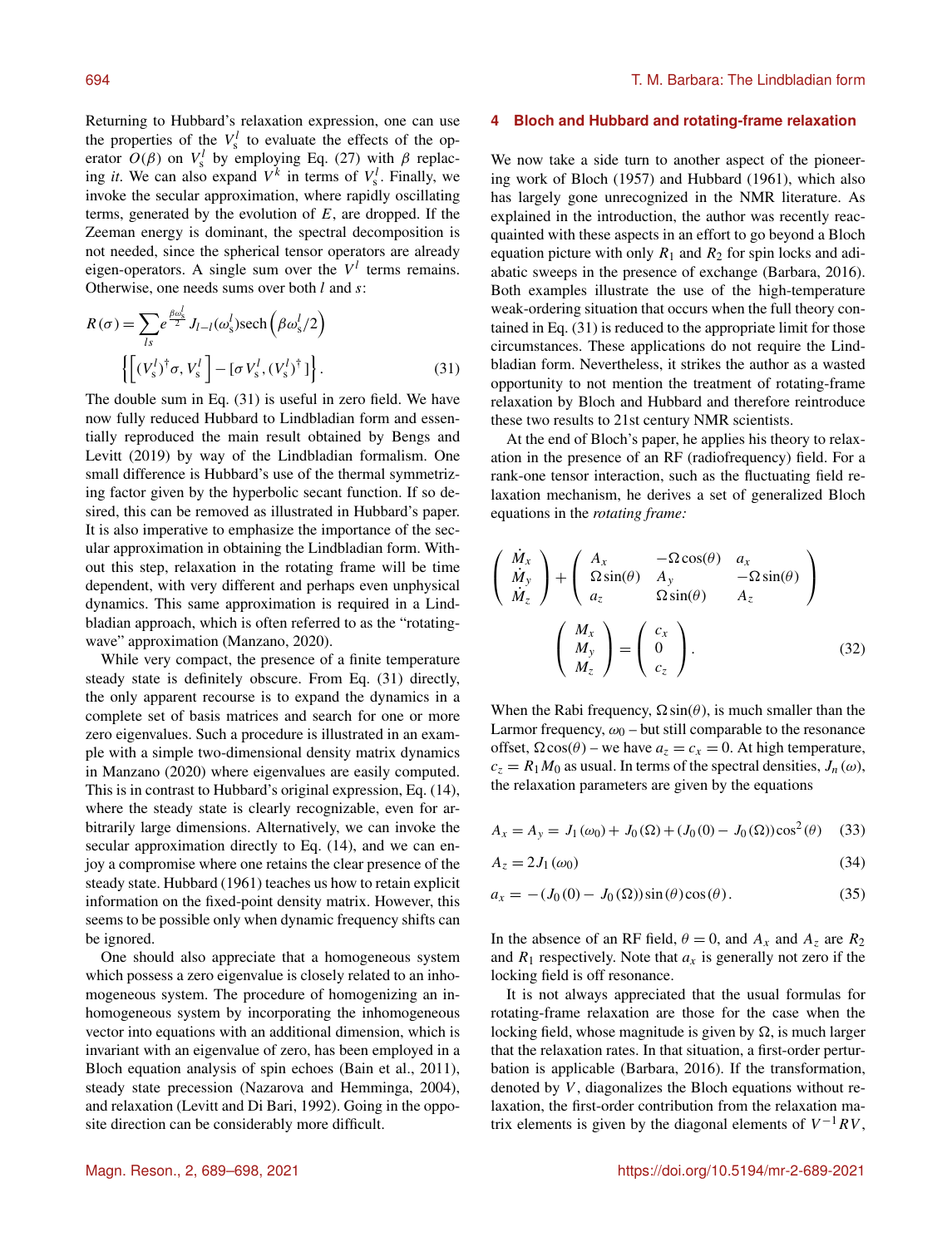Returning to Hubbard's relaxation expression, one can use the properties of the  $V_s^l$  to evaluate the effects of the operator  $O(\beta)$  on  $V_s^l$  by employing Eq. (27) with  $\beta$  replacing *it*. We can also expand  $V^k$  in terms of  $V^l_s$ . Finally, we invoke the secular approximation, where rapidly oscillating terms, generated by the evolution of  $E$ , are dropped. If the Zeeman energy is dominant, the spectral decomposition is not needed, since the spherical tensor operators are already eigen-operators. A single sum over the  $V<sup>l</sup>$  terms remains. Otherwise, one needs sums over both  $l$  and  $s$ :

$$
R(\sigma) = \sum_{ls} e^{\frac{\beta \omega_s^l}{2}} J_{l-l}(\omega_s^l) \text{sech}\left(\beta \omega_s^l/2\right)
$$

$$
\left\{ \left[ (V_s^l)^\dagger \sigma, V_s^l \right] - \left[ \sigma V_s^l, (V_s^l)^\dagger \right] \right\}.
$$
(31)

The double sum in Eq. (31) is useful in zero field. We have now fully reduced Hubbard to Lindbladian form and essentially reproduced the main result obtained by Bengs and Levitt (2019) by way of the Lindbladian formalism. One small difference is Hubbard's use of the thermal symmetrizing factor given by the hyperbolic secant function. If so desired, this can be removed as illustrated in Hubbard's paper. It is also imperative to emphasize the importance of the secular approximation in obtaining the Lindbladian form. Without this step, relaxation in the rotating frame will be time dependent, with very different and perhaps even unphysical dynamics. This same approximation is required in a Lindbladian approach, which is often referred to as the "rotatingwave" approximation (Manzano, 2020).

While very compact, the presence of a finite temperature steady state is definitely obscure. From Eq. (31) directly, the only apparent recourse is to expand the dynamics in a complete set of basis matrices and search for one or more zero eigenvalues. Such a procedure is illustrated in an example with a simple two-dimensional density matrix dynamics in Manzano (2020) where eigenvalues are easily computed. This is in contrast to Hubbard's original expression, Eq. (14), where the steady state is clearly recognizable, even for arbitrarily large dimensions. Alternatively, we can invoke the secular approximation directly to Eq. (14), and we can enjoy a compromise where one retains the clear presence of the steady state. Hubbard (1961) teaches us how to retain explicit information on the fixed-point density matrix. However, this seems to be possible only when dynamic frequency shifts can be ignored.

One should also appreciate that a homogeneous system which possess a zero eigenvalue is closely related to an inhomogeneous system. The procedure of homogenizing an inhomogeneous system by incorporating the inhomogeneous vector into equations with an additional dimension, which is invariant with an eigenvalue of zero, has been employed in a Bloch equation analysis of spin echoes (Bain et al., 2011), steady state precession (Nazarova and Hemminga, 2004), and relaxation (Levitt and Di Bari, 1992). Going in the opposite direction can be considerably more difficult.

### **4 Bloch and Hubbard and rotating-frame relaxation**

We now take a side turn to another aspect of the pioneering work of Bloch (1957) and Hubbard (1961), which also has largely gone unrecognized in the NMR literature. As explained in the introduction, the author was recently reacquainted with these aspects in an effort to go beyond a Bloch equation picture with only  $R_1$  and  $R_2$  for spin locks and adiabatic sweeps in the presence of exchange (Barbara, 2016). Both examples illustrate the use of the high-temperature weak-ordering situation that occurs when the full theory contained in Eq. (31) is reduced to the appropriate limit for those circumstances. These applications do not require the Lindbladian form. Nevertheless, it strikes the author as a wasted opportunity to not mention the treatment of rotating-frame relaxation by Bloch and Hubbard and therefore reintroduce these two results to 21st century NMR scientists.

At the end of Bloch's paper, he applies his theory to relaxation in the presence of an RF (radiofrequency) field. For a rank-one tensor interaction, such as the fluctuating field relaxation mechanism, he derives a set of generalized Bloch equations in the *rotating frame:*

$$
\begin{pmatrix}\n\dot{M}_x \\
\dot{M}_y \\
\dot{M}_z\n\end{pmatrix} + \begin{pmatrix}\nA_x & -\Omega \cos(\theta) & a_x \\
\Omega \sin(\theta) & A_y & -\Omega \sin(\theta) \\
a_z & \Omega \sin(\theta) & A_z\n\end{pmatrix}
$$
\n
$$
\begin{pmatrix}\nM_x \\
M_y \\
M_z\n\end{pmatrix} = \begin{pmatrix}\nc_x \\
0 \\
c_z\n\end{pmatrix}.
$$
\n(32)

When the Rabi frequency,  $\Omega \sin(\theta)$ , is much smaller than the Larmor frequency,  $\omega_0$  – but still comparable to the resonance offset,  $\Omega \cos(\theta)$  – we have  $a_7 = c_x = 0$ . At high temperature,  $c_z = R_1 M_0$  as usual. In terms of the spectral densities,  $J_n(\omega)$ , the relaxation parameters are given by the equations

$$
A_x = A_y = J_1(\omega_0) + J_0(\Omega) + (J_0(0) - J_0(\Omega))\cos^2(\theta)
$$
 (33)

$$
A_z = 2J_1(\omega_0) \tag{34}
$$

$$
a_x = -(J_0(0) - J_0(\Omega))\sin(\theta)\cos(\theta). \tag{35}
$$

In the absence of an RF field,  $\theta = 0$ , and  $A_x$  and  $A_z$  are  $R_2$ and  $R_1$  respectively. Note that  $a_x$  is generally not zero if the locking field is off resonance.

It is not always appreciated that the usual formulas for rotating-frame relaxation are those for the case when the locking field, whose magnitude is given by  $\Omega$ , is much larger that the relaxation rates. In that situation, a first-order perturbation is applicable (Barbara, 2016). If the transformation, denoted by  $V$ , diagonalizes the Bloch equations without relaxation, the first-order contribution from the relaxation matrix elements is given by the diagonal elements of  $V^{-1}RV$ ,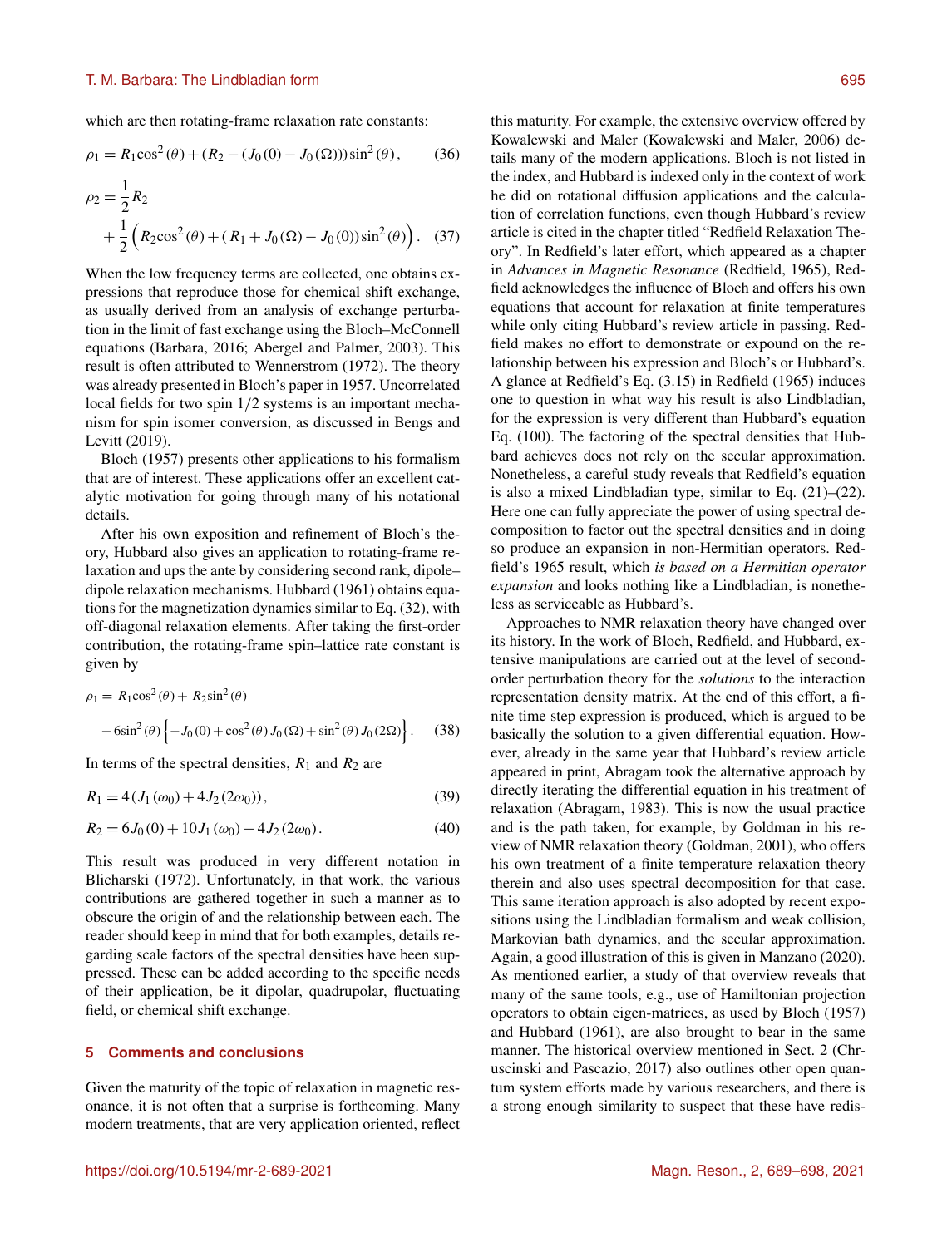which are then rotating-frame relaxation rate constants:

$$
\rho_1 = R_1 \cos^2(\theta) + (R_2 - (J_0(0) - J_0(\Omega))) \sin^2(\theta), \qquad (36)
$$
  

$$
\rho_2 = \frac{1}{2} R_2
$$

$$
\rho_2 = \frac{1}{2} R_2
$$
  
 
$$
+ \frac{1}{2} (R_2 \cos^2(\theta) + (R_1 + J_0(\Omega) - J_0(0)) \sin^2(\theta)). \quad (37)
$$

When the low frequency terms are collected, one obtains expressions that reproduce those for chemical shift exchange, as usually derived from an analysis of exchange perturbation in the limit of fast exchange using the Bloch–McConnell equations (Barbara, 2016; Abergel and Palmer, 2003). This result is often attributed to Wennerstrom (1972). The theory was already presented in Bloch's paper in 1957. Uncorrelated local fields for two spin  $1/2$  systems is an important mechanism for spin isomer conversion, as discussed in Bengs and Levitt (2019).

Bloch (1957) presents other applications to his formalism that are of interest. These applications offer an excellent catalytic motivation for going through many of his notational details.

After his own exposition and refinement of Bloch's theory, Hubbard also gives an application to rotating-frame relaxation and ups the ante by considering second rank, dipole– dipole relaxation mechanisms. Hubbard (1961) obtains equations for the magnetization dynamics similar to Eq. (32), with off-diagonal relaxation elements. After taking the first-order contribution, the rotating-frame spin–lattice rate constant is given by

$$
\rho_1 = R_1 \cos^2(\theta) + R_2 \sin^2(\theta) \n-6\sin^2(\theta) \left\{ -J_0(0) + \cos^2(\theta) J_0(\Omega) + \sin^2(\theta) J_0(2\Omega) \right\}.
$$
\n(38)

In terms of the spectral densities,  $R_1$  and  $R_2$  are

$$
R_1 = 4(J_1(\omega_0) + 4J_2(2\omega_0)),
$$
\n(39)

$$
R_2 = 6J_0(0) + 10J_1(\omega_0) + 4J_2(2\omega_0). \tag{40}
$$

This result was produced in very different notation in Blicharski (1972). Unfortunately, in that work, the various contributions are gathered together in such a manner as to obscure the origin of and the relationship between each. The reader should keep in mind that for both examples, details regarding scale factors of the spectral densities have been suppressed. These can be added according to the specific needs of their application, be it dipolar, quadrupolar, fluctuating field, or chemical shift exchange.

## **5 Comments and conclusions**

Given the maturity of the topic of relaxation in magnetic resonance, it is not often that a surprise is forthcoming. Many modern treatments, that are very application oriented, reflect this maturity. For example, the extensive overview offered by Kowalewski and Maler (Kowalewski and Maler, 2006) details many of the modern applications. Bloch is not listed in the index, and Hubbard is indexed only in the context of work he did on rotational diffusion applications and the calculation of correlation functions, even though Hubbard's review article is cited in the chapter titled "Redfield Relaxation Theory". In Redfield's later effort, which appeared as a chapter in *Advances in Magnetic Resonance* (Redfield, 1965), Redfield acknowledges the influence of Bloch and offers his own equations that account for relaxation at finite temperatures while only citing Hubbard's review article in passing. Redfield makes no effort to demonstrate or expound on the relationship between his expression and Bloch's or Hubbard's. A glance at Redfield's Eq. (3.15) in Redfield (1965) induces one to question in what way his result is also Lindbladian, for the expression is very different than Hubbard's equation Eq. (100). The factoring of the spectral densities that Hubbard achieves does not rely on the secular approximation. Nonetheless, a careful study reveals that Redfield's equation is also a mixed Lindbladian type, similar to Eq. (21)–(22). Here one can fully appreciate the power of using spectral decomposition to factor out the spectral densities and in doing so produce an expansion in non-Hermitian operators. Redfield's 1965 result, which *is based on a Hermitian operator expansion* and looks nothing like a Lindbladian, is nonetheless as serviceable as Hubbard's.

Approaches to NMR relaxation theory have changed over its history. In the work of Bloch, Redfield, and Hubbard, extensive manipulations are carried out at the level of secondorder perturbation theory for the *solutions* to the interaction representation density matrix. At the end of this effort, a finite time step expression is produced, which is argued to be basically the solution to a given differential equation. However, already in the same year that Hubbard's review article appeared in print, Abragam took the alternative approach by directly iterating the differential equation in his treatment of relaxation (Abragam, 1983). This is now the usual practice and is the path taken, for example, by Goldman in his review of NMR relaxation theory (Goldman, 2001), who offers his own treatment of a finite temperature relaxation theory therein and also uses spectral decomposition for that case. This same iteration approach is also adopted by recent expositions using the Lindbladian formalism and weak collision, Markovian bath dynamics, and the secular approximation. Again, a good illustration of this is given in Manzano (2020). As mentioned earlier, a study of that overview reveals that many of the same tools, e.g., use of Hamiltonian projection operators to obtain eigen-matrices, as used by Bloch (1957) and Hubbard (1961), are also brought to bear in the same manner. The historical overview mentioned in Sect. 2 (Chruscinski and Pascazio, 2017) also outlines other open quantum system efforts made by various researchers, and there is a strong enough similarity to suspect that these have redis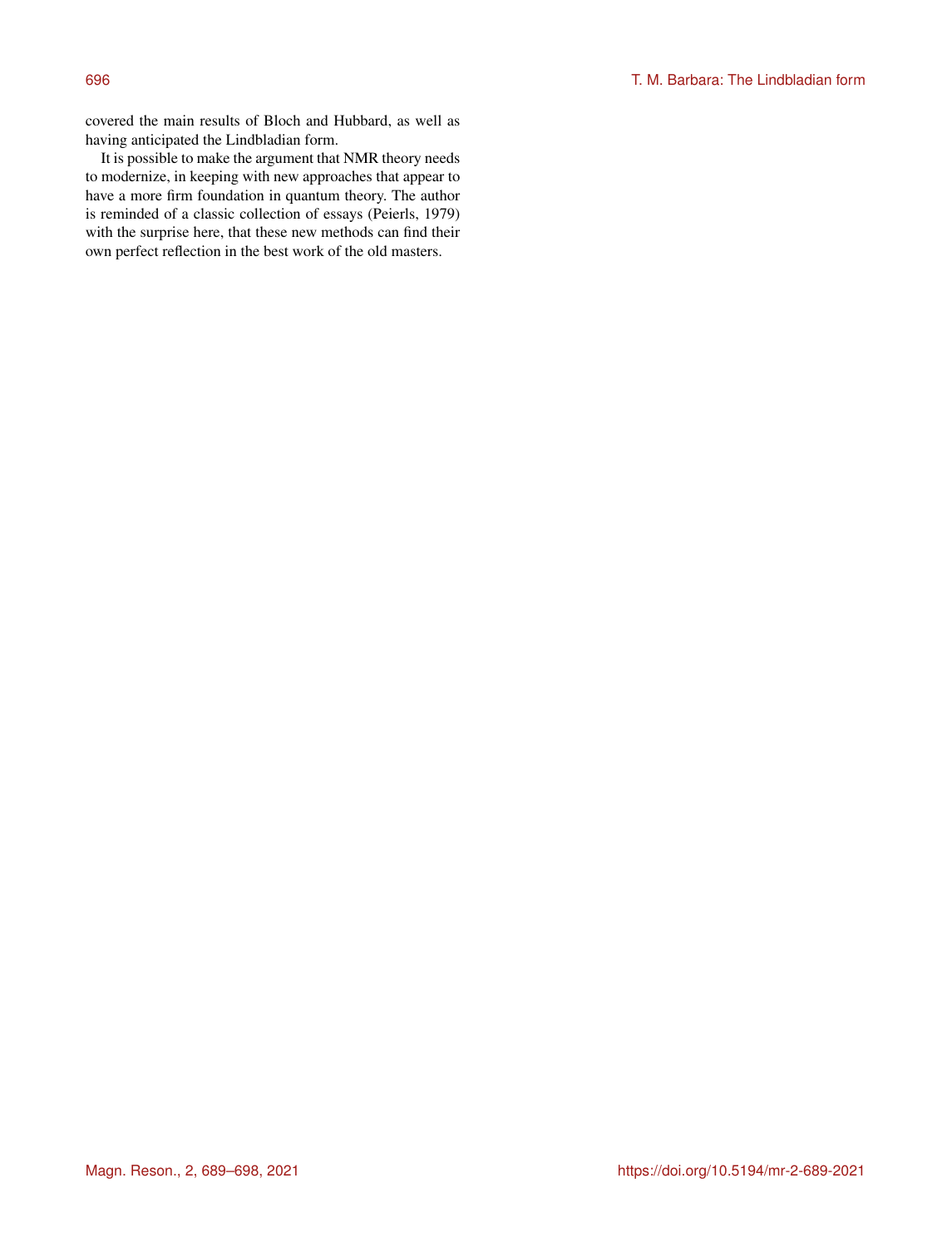covered the main results of Bloch and Hubbard, as well as having anticipated the Lindbladian form.

It is possible to make the argument that NMR theory needs to modernize, in keeping with new approaches that appear to have a more firm foundation in quantum theory. The author is reminded of a classic collection of essays (Peierls, 1979) with the surprise here, that these new methods can find their own perfect reflection in the best work of the old masters.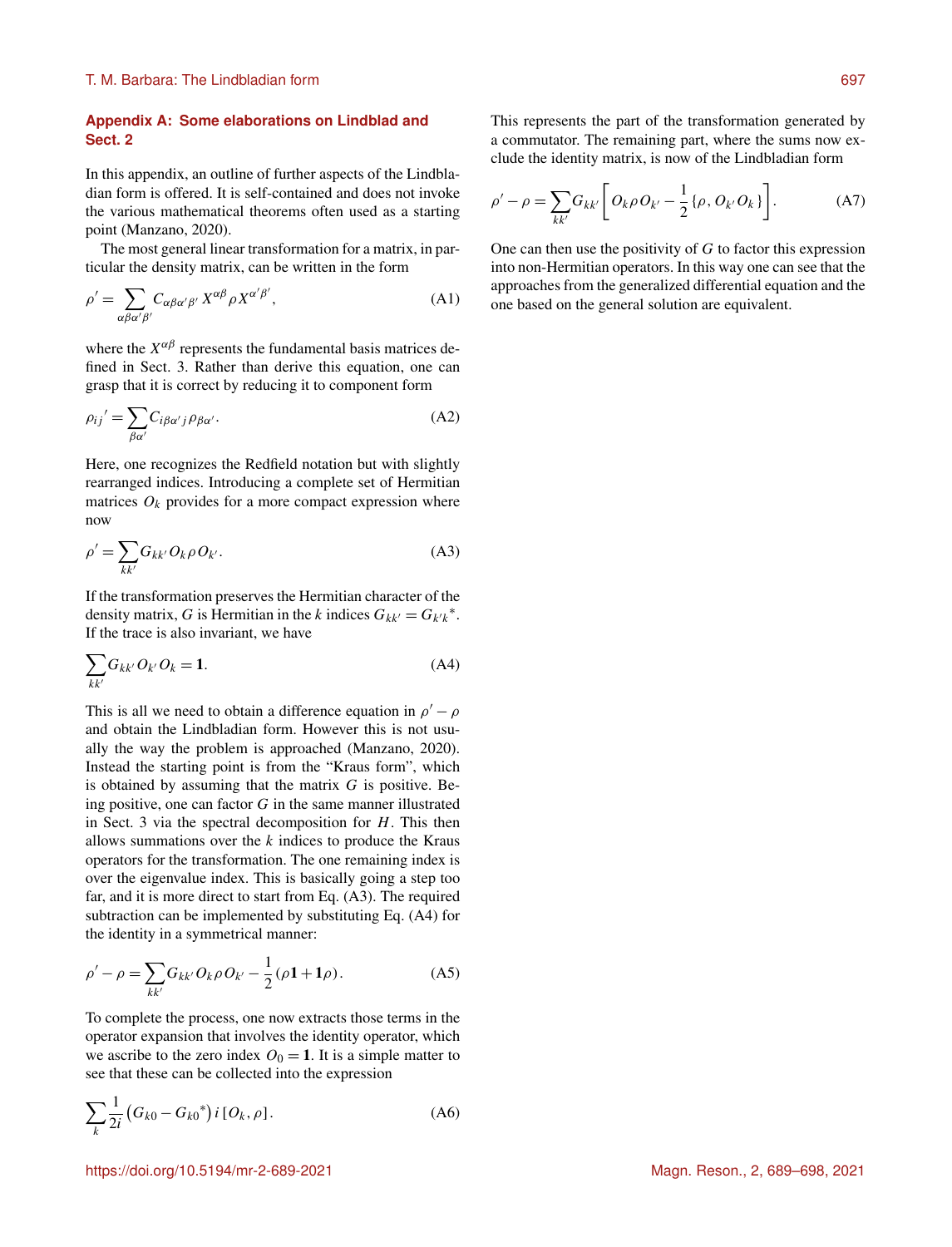# **Appendix A: Some elaborations on Lindblad and Sect. 2**

In this appendix, an outline of further aspects of the Lindbladian form is offered. It is self-contained and does not invoke the various mathematical theorems often used as a starting point (Manzano, 2020).

The most general linear transformation for a matrix, in particular the density matrix, can be written in the form

$$
\rho' = \sum_{\alpha\beta\alpha'\beta'} C_{\alpha\beta\alpha'\beta'} X^{\alpha\beta} \rho X^{\alpha'\beta'}, \tag{A1}
$$

where the  $X^{\alpha\beta}$  represents the fundamental basis matrices defined in Sect. 3. Rather than derive this equation, one can grasp that it is correct by reducing it to component form

$$
\rho_{ij}' = \sum_{\beta \alpha'} C_{i\beta \alpha' j} \rho_{\beta \alpha'}.
$$
\n(A2)

Here, one recognizes the Redfield notation but with slightly rearranged indices. Introducing a complete set of Hermitian matrices  $O_k$  provides for a more compact expression where now

$$
\rho' = \sum_{kk'} G_{kk'} O_k \rho O_{k'}.
$$
\n(A3)

If the transformation preserves the Hermitian character of the density matrix, G is Hermitian in the k indices  $G_{kk'} = G_{k'k}^*$ . If the trace is also invariant, we have

$$
\sum_{kk'} G_{kk'} O_{k'} O_k = 1.
$$
\n(A4)

This is all we need to obtain a difference equation in  $\rho' - \rho$ and obtain the Lindbladian form. However this is not usually the way the problem is approached (Manzano, 2020). Instead the starting point is from the "Kraus form", which is obtained by assuming that the matrix  $G$  is positive. Being positive, one can factor  $G$  in the same manner illustrated in Sect. 3 via the spectral decomposition for  $H$ . This then allows summations over the  $k$  indices to produce the Kraus operators for the transformation. The one remaining index is over the eigenvalue index. This is basically going a step too far, and it is more direct to start from Eq. (A3). The required subtraction can be implemented by substituting Eq. (A4) for the identity in a symmetrical manner:

$$
\rho' - \rho = \sum_{kk'} G_{kk'} O_{k}\rho O_{k'} - \frac{1}{2} (\rho \mathbf{1} + \mathbf{1}\rho).
$$
 (A5)

To complete the process, one now extracts those terms in the operator expansion that involves the identity operator, which we ascribe to the zero index  $O_0 = 1$ . It is a simple matter to see that these can be collected into the expression

$$
\sum_{k} \frac{1}{2i} \left( G_{k0} - G_{k0}^* \right) i \left[ O_k, \rho \right]. \tag{A6}
$$

This represents the part of the transformation generated by a commutator. The remaining part, where the sums now exclude the identity matrix, is now of the Lindbladian form

$$
\rho' - \rho = \sum_{kk'} G_{kk'} \bigg[ O_k \rho O_{k'} - \frac{1}{2} \{ \rho, O_{k'} O_k \} \bigg].
$$
 (A7)

One can then use the positivity of  $G$  to factor this expression into non-Hermitian operators. In this way one can see that the approaches from the generalized differential equation and the one based on the general solution are equivalent.